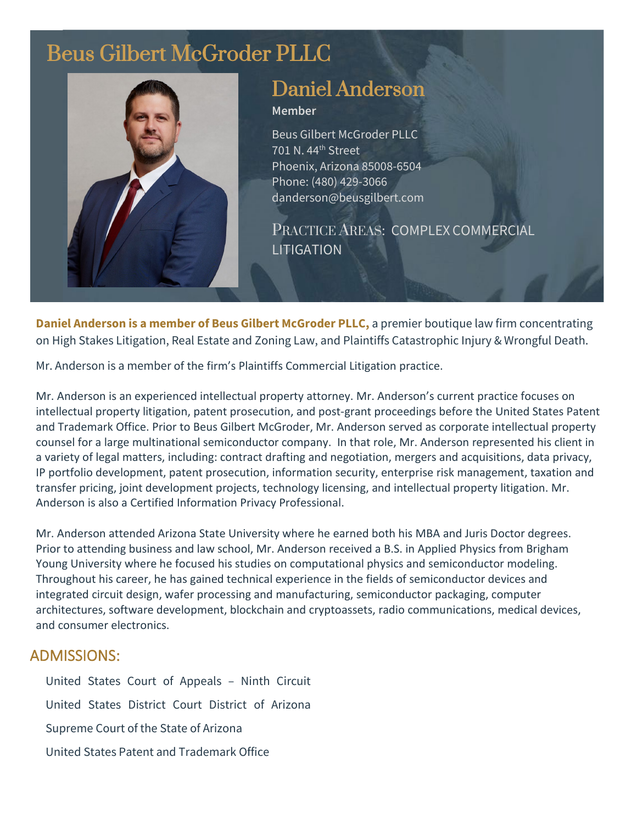# Beus Gilbert McGroder PLLC



## Daniel Anderson

#### **Member**

Beus Gilbert McGroder PLLC 701 N. 44th Street Phoenix, Arizona 85008-6504 Phone: (480) 429-3066 danderson@beusgilbert.com

PRACTICE AREAS: COMPLEX COMMERCIAL LITIGATION

**Daniel Anderson is a member of Beus Gilbert McGroder PLLC,** a premier boutique law firm concentrating on High Stakes Litigation, Real Estate and Zoning Law, and Plaintiffs Catastrophic Injury & Wrongful Death.

Mr. Anderson is a member of the firm's Plaintiffs Commercial Litigation practice.

Mr. Anderson is an experienced intellectual property attorney. Mr. Anderson's current practice focuses on intellectual property litigation, patent prosecution, and post-grant proceedings before the United States Patent and Trademark Office. Prior to Beus Gilbert McGroder, Mr. Anderson served as corporate intellectual property counsel for a large multinational semiconductor company. In that role, Mr. Anderson represented his client in a variety of legal matters, including: contract drafting and negotiation, mergers and acquisitions, data privacy, IP portfolio development, patent prosecution, information security, enterprise risk management, taxation and transfer pricing, joint development projects, technology licensing, and intellectual property litigation. Mr. Anderson is also a Certified Information Privacy Professional.

Mr. Anderson attended Arizona State University where he earned both his MBA and Juris Doctor degrees. Prior to attending business and law school, Mr. Anderson received a B.S. in Applied Physics from Brigham Young University where he focused his studies on computational physics and semiconductor modeling. Throughout his career, he has gained technical experience in the fields of semiconductor devices and integrated circuit design, wafer processing and manufacturing, semiconductor packaging, computer architectures, software development, blockchain and cryptoassets, radio communications, medical devices, and consumer electronics.

### ADMISSIONS:

United States Court of Appeals – Ninth Circuit United States District Court District of Arizona Supreme Court of the State of Arizona United States Patent and Trademark Office